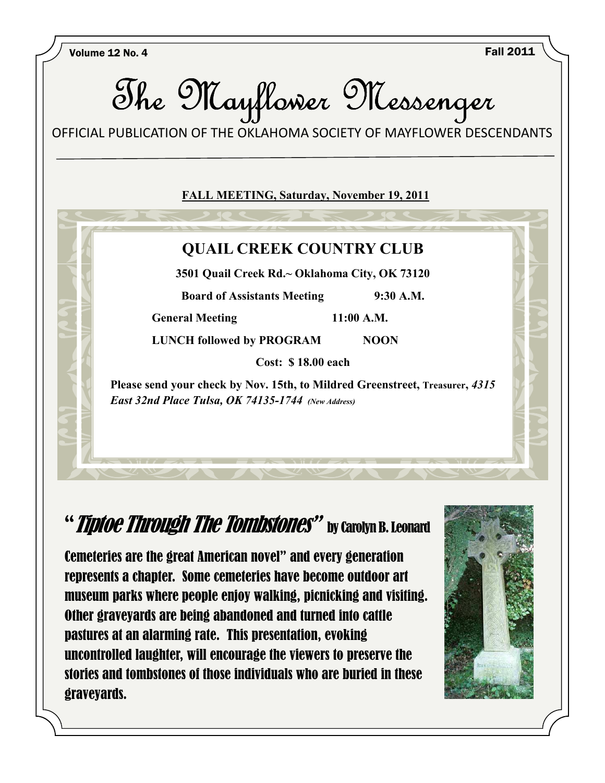Volume 12 No. 4 Fall 2011



## "Tiptoe Through The Tombstones" by carolyn B. Leonard

Cemeteries are the great American novel" and every generation represents a chapter. Some cemeteries have become outdoor art museum parks where people enjoy walking, picnicking and visiting. Other graveyards are being abandoned and turned into cattle pastures at an alarming rate. This presentation, evoking uncontrolled laughter, will encourage the viewers to preserve the stories and tombstones of those individuals who are buried in these graveyards.

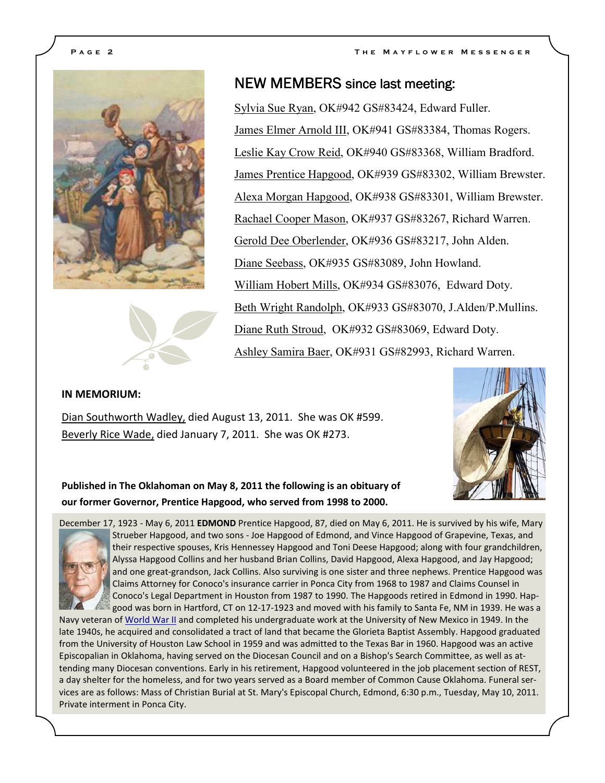



### NEW MEMBERS since last meeting:

Sylvia Sue Ryan, OK#942 GS#83424, Edward Fuller. James Elmer Arnold III, OK#941 GS#83384, Thomas Rogers. Leslie Kay Crow Reid, OK#940 GS#83368, William Bradford. James Prentice Hapgood, OK#939 GS#83302, William Brewster. Alexa Morgan Hapgood, OK#938 GS#83301, William Brewster. Rachael Cooper Mason, OK#937 GS#83267, Richard Warren. Gerold Dee Oberlender, OK#936 GS#83217, John Alden. Diane Seebass, OK#935 GS#83089, John Howland. William Hobert Mills, OK#934 GS#83076, Edward Doty. Beth Wright Randolph, OK#933 GS#83070, J.Alden/P.Mullins. Diane Ruth Stroud, OK#932 GS#83069, Edward Doty. Ashley Samira Baer, OK#931 GS#82993, Richard Warren.

#### **IN MEMORIUM:**

Dian Southworth Wadley, died August 13, 2011. She was OK #599. Beverly Rice Wade, died January 7, 2011. She was OK #273.



**Published in The Oklahoman on May 8, 2011 the following is an obituary of our former Governor, Prentice Hapgood, who served from 1998 to 2000.** 



December 17, 1923 - May 6, 2011 **EDMOND** Prentice Hapgood, 87, died on May 6, 2011. He is survived by his wife, Mary Strueber Hapgood, and two sons - Joe Hapgood of Edmond, and Vince Hapgood of Grapevine, Texas, and their respective spouses, Kris Hennessey Hapgood and Toni Deese Hapgood; along with four grandchildren, Alyssa Hapgood Collins and her husband Brian Collins, David Hapgood, Alexa Hapgood, and Jay Hapgood; and one great-grandson, Jack Collins. Also surviving is one sister and three nephews. Prentice Hapgood was Claims Attorney for Conoco's insurance carrier in Ponca City from 1968 to 1987 and Claims Counsel in Conoco's Legal Department in Houston from 1987 to 1990. The Hapgoods retired in Edmond in 1990. Hapgood was born in Hartford, CT on 12-17-1923 and moved with his family to Santa Fe, NM in 1939. He was a

Navy veteran of World War II and completed his undergraduate work at the University of New Mexico in 1949. In the late 1940s, he acquired and consolidated a tract of land that became the Glorieta Baptist Assembly. Hapgood graduated from the University of Houston Law School in 1959 and was admitted to the Texas Bar in 1960. Hapgood was an active Episcopalian in Oklahoma, having served on the Diocesan Council and on a Bishop's Search Committee, as well as attending many Diocesan conventions. Early in his retirement, Hapgood volunteered in the job placement section of REST, a day shelter for the homeless, and for two years served as a Board member of Common Cause Oklahoma. Funeral services are as follows: Mass of Christian Burial at St. Mary's Episcopal Church, Edmond, 6:30 p.m., Tuesday, May 10, 2011. Private interment in Ponca City.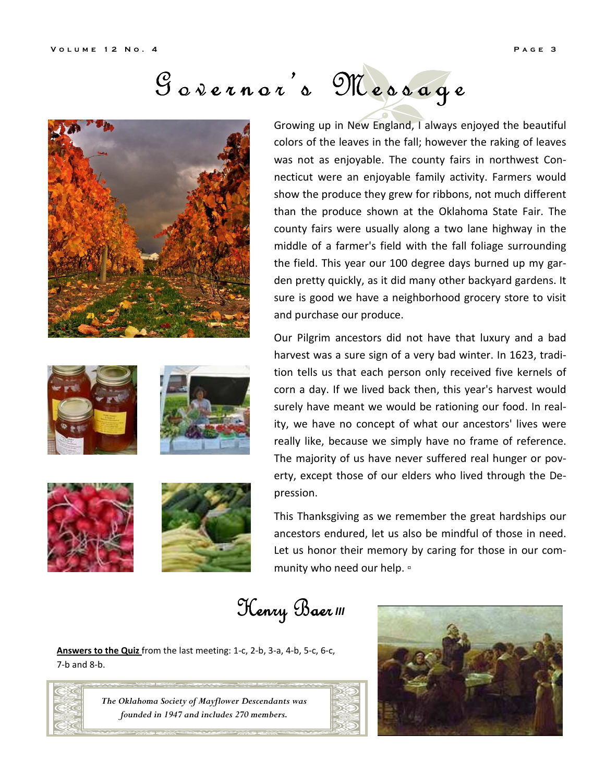# Governor's Message











Growing up in New England, I always enjoyed the beautiful colors of the leaves in the fall; however the raking of leaves was not as enjoyable. The county fairs in northwest Connecticut were an enjoyable family activity. Farmers would show the produce they grew for ribbons, not much different than the produce shown at the Oklahoma State Fair. The county fairs were usually along a two lane highway in the middle of a farmer's field with the fall foliage surrounding the field. This year our 100 degree days burned up my garden pretty quickly, as it did many other backyard gardens. It sure is good we have a neighborhood grocery store to visit and purchase our produce.

Our Pilgrim ancestors did not have that luxury and a bad harvest was a sure sign of a very bad winter. In 1623, tradition tells us that each person only received five kernels of corn a day. If we lived back then, this year's harvest would surely have meant we would be rationing our food. In reality, we have no concept of what our ancestors' lives were really like, because we simply have no frame of reference. The majority of us have never suffered real hunger or poverty, except those of our elders who lived through the Depression.

This Thanksgiving as we remember the great hardships our ancestors endured, let us also be mindful of those in need. Let us honor their memory by caring for those in our community who need our help.  $\circ$ 

 $\mathfrak{H}$ enry Baer<sup>III</sup>

**Answers to the Quiz** from the last meeting: 1-c, 2-b, 3-a, 4-b, 5-c, 6-c, 7-b and 8-b.



*The Oklahoma Society of Mayflower Descendants was founded in 1947 and includes 270 members.* 

![](_page_2_Picture_15.jpeg)